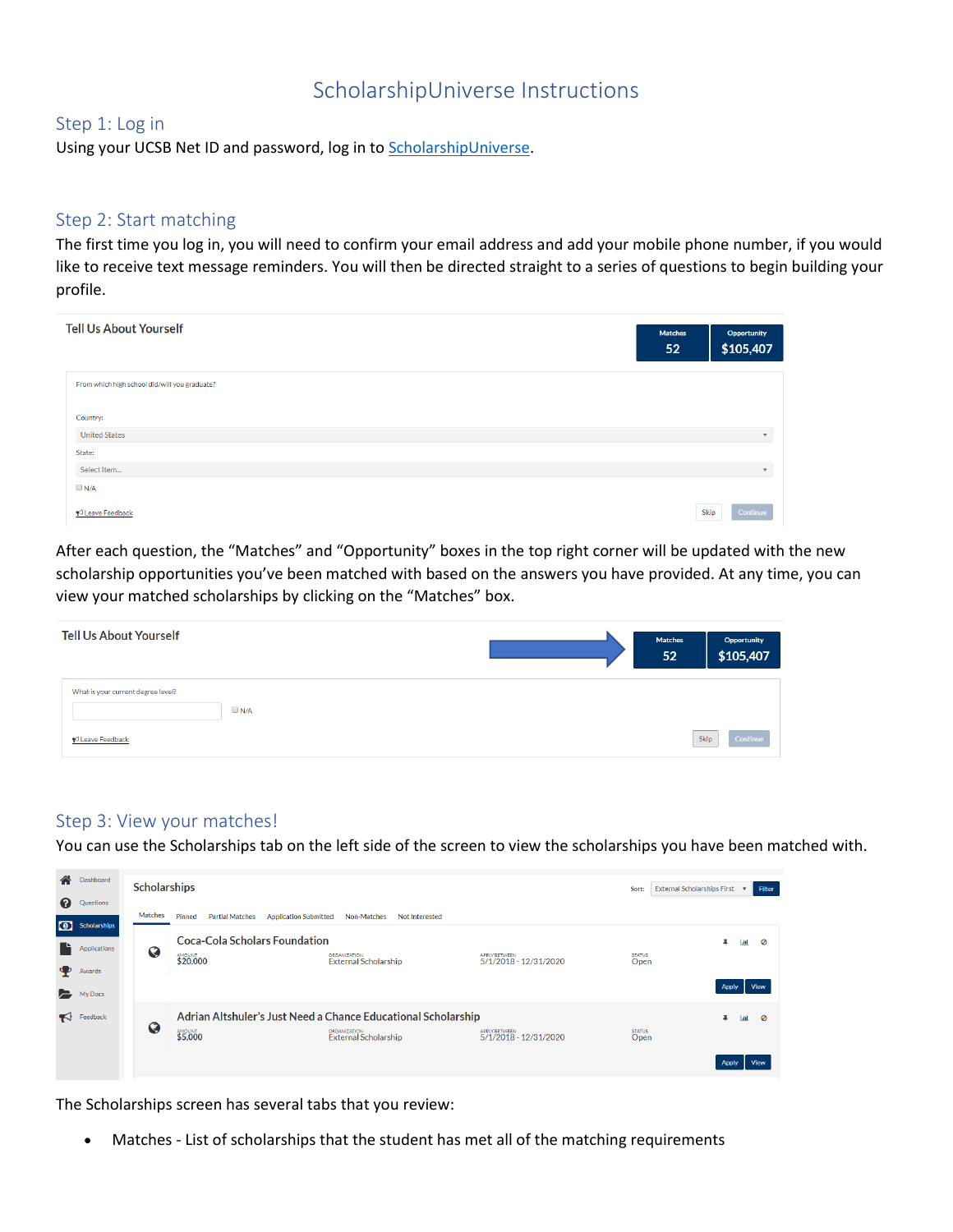## ScholarshipUniverse Instructions

## Step 1: Log in

Using your UCSB Net ID and password, log in to **ScholarshipUniverse**.

## Step 2: Start matching

The first time you log in, you will need to confirm your email address and add your mobile phone number, if you would like to receive text message reminders. You will then be directed straight to a series of questions to begin building your profile.

| <b>Tell Us About Yourself</b>                 | <b>Matches</b><br>52 | Opportunity<br>\$105,407 |
|-----------------------------------------------|----------------------|--------------------------|
| From which high school did/will you graduate? |                      |                          |
| Country:                                      |                      |                          |
| <b>United States</b>                          |                      | $\mathbf{v}$             |
| State:                                        |                      |                          |
| Select item                                   |                      | $\overline{\mathbf{v}}$  |
| $\n  N/A\n$                                   |                      |                          |
| ₹ Leave Feedback                              | Skip                 | Continue                 |

After each question, the "Matches" and "Opportunity" boxes in the top right corner will be updated with the new scholarship opportunities you've been matched with based on the answers you have provided. At any time, you can view your matched scholarships by clicking on the "Matches" box.

| <b>Tell Us About Yourself</b>                                         | <b>Matches</b><br>52 | Opportunity<br>\$105,407 |
|-----------------------------------------------------------------------|----------------------|--------------------------|
| What is your current degree level?<br>$\n  N/A\n$<br>₹ Leave Feedback | Skip                 | Continue                 |

## Step 3: View your matches!

You can use the Scholarships tab on the left side of the screen to view the scholarships you have been matched with.

| 合            | Dashboard             | <b>Scholarships</b> |                                                                  |                                                               |                                               | Sort:                 | External Scholarships First v<br>Filter |
|--------------|-----------------------|---------------------|------------------------------------------------------------------|---------------------------------------------------------------|-----------------------------------------------|-----------------------|-----------------------------------------|
| ଵ            | Questions             | Matches             | Pinned<br><b>Partial Matches</b><br><b>Application Submitted</b> | Non-Matches<br>Not Interested                                 |                                               |                       |                                         |
|              | <b>0</b> Scholarships |                     | <b>Coca-Cola Scholars Foundation</b>                             |                                                               |                                               |                       |                                         |
|              | Applications          | Q                   | <b>\$20,000</b>                                                  | <b>ORGANIZATION</b><br><b>External Scholarship</b>            | <b>APPLY BETWEEN</b><br>5/1/2018 - 12/31/2020 | <b>STATUS</b><br>Open | ы<br>⊘                                  |
| <b>P</b>     | Awards                |                     |                                                                  |                                                               |                                               |                       |                                         |
| <b>P</b>     | My Docs               |                     |                                                                  |                                                               |                                               |                       | View<br>Apply                           |
| $\mathbf{F}$ | Feedback              | Q                   |                                                                  | Adrian Altshuler's Just Need a Chance Educational Scholarship |                                               |                       | Ø<br>L                                  |
|              |                       |                     | <b>\$5,000</b>                                                   | <b>ORGANIZATION</b><br><b>External Scholarship</b>            | APPLY BETWEEN<br>5/1/2018 - 12/31/2020        | <b>STATUS</b><br>Open |                                         |
|              |                       |                     |                                                                  |                                                               |                                               |                       | View<br>Appl                            |

The Scholarships screen has several tabs that you review:

• Matches - List of scholarships that the student has met all of the matching requirements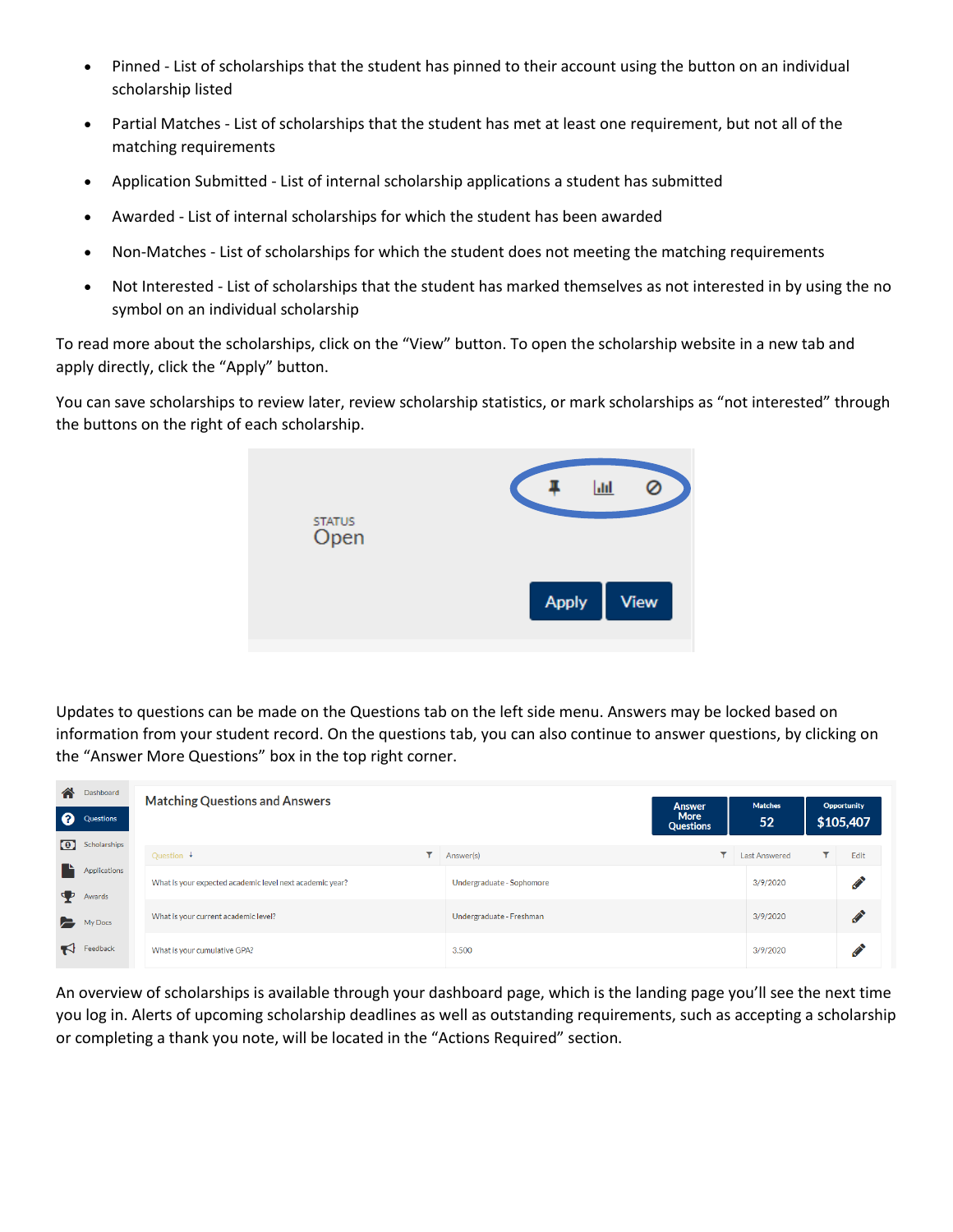- Pinned List of scholarships that the student has pinned to their account using the button on an individual scholarship listed
- Partial Matches List of scholarships that the student has met at least one requirement, but not all of the matching requirements
- Application Submitted List of internal scholarship applications a student has submitted
- Awarded List of internal scholarships for which the student has been awarded
- Non-Matches List of scholarships for which the student does not meeting the matching requirements
- Not Interested List of scholarships that the student has marked themselves as not interested in by using the no symbol on an individual scholarship

To read more about the scholarships, click on the "View" button. To open the scholarship website in a new tab and apply directly, click the "Apply" button.

You can save scholarships to review later, review scholarship statistics, or mark scholarships as "not interested" through the buttons on the right of each scholarship.



Updates to questions can be made on the Questions tab on the left side menu. Answers may be locked based on information from your student record. On the questions tab, you can also continue to answer questions, by clicking on the "Answer More Questions" box in the top right corner.

| 谷<br><sup>◎</sup>       | Dashboard<br>Questions | <b>Matching Questions and Answers</b>                    |                           | <b>Answer</b><br><b>More</b><br><b>Questions</b> | <b>Matches</b><br>52 |          | Opportunity<br>\$105,407 |
|-------------------------|------------------------|----------------------------------------------------------|---------------------------|--------------------------------------------------|----------------------|----------|--------------------------|
| $\lceil \bullet \rceil$ | Scholarships           | ▼<br>Question $\downarrow$                               | Answer(s)                 | ▼                                                | <b>Last Answered</b> | <b>T</b> | Edit                     |
| L<br>Φ                  | Applications<br>Awards | What is your expected academic level next academic year? | Undergraduate - Sophomore |                                                  | 3/9/2020             |          | <b>CONTRACTOR</b>        |
| E.                      | My Docs                | What is your current academic level?                     | Undergraduate - Freshman  |                                                  | 3/9/2020             |          | <b>CENT</b>              |
| К                       | Feedback               | What is your cumulative GPA?                             | 3.500                     |                                                  | 3/9/2020             |          | <b>CONTRACTOR</b>        |

An overview of scholarships is available through your dashboard page, which is the landing page you'll see the next time you log in. Alerts of upcoming scholarship deadlines as well as outstanding requirements, such as accepting a scholarship or completing a thank you note, will be located in the "Actions Required" section.